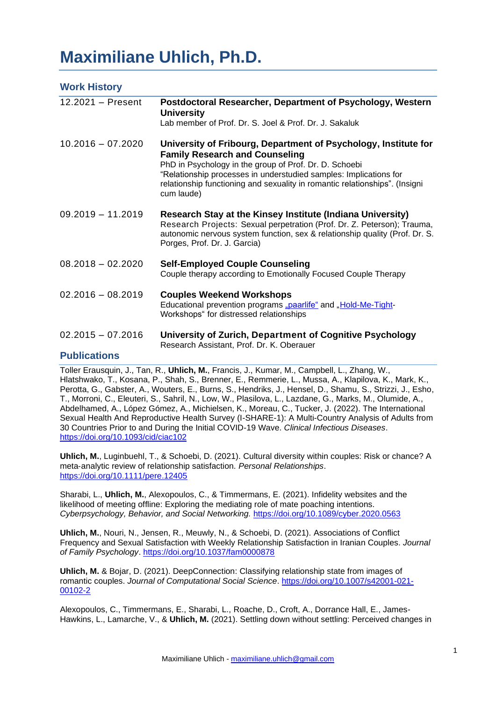# **Maximiliane Uhlich, Ph.D.**

| <b>Work History</b>                        |                                                                                                                                                                                                                                                                                                                                      |
|--------------------------------------------|--------------------------------------------------------------------------------------------------------------------------------------------------------------------------------------------------------------------------------------------------------------------------------------------------------------------------------------|
| 12.2021 - Present                          | Postdoctoral Researcher, Department of Psychology, Western<br><b>University</b><br>Lab member of Prof. Dr. S. Joel & Prof. Dr. J. Sakaluk                                                                                                                                                                                            |
| $10.2016 - 07.2020$                        | University of Fribourg, Department of Psychology, Institute for<br><b>Family Research and Counseling</b><br>PhD in Psychology in the group of Prof. Dr. D. Schoebi<br>"Relationship processes in understudied samples: Implications for<br>relationship functioning and sexuality in romantic relationships". (Insigni<br>cum laude) |
| $09.2019 - 11.2019$                        | Research Stay at the Kinsey Institute (Indiana University)<br>Research Projects: Sexual perpetration (Prof. Dr. Z. Peterson); Trauma,<br>autonomic nervous system function, sex & relationship quality (Prof. Dr. S.<br>Porges, Prof. Dr. J. Garcia)                                                                                 |
| $08.2018 - 02.2020$                        | <b>Self-Employed Couple Counseling</b><br>Couple therapy according to Emotionally Focused Couple Therapy                                                                                                                                                                                                                             |
| $02.2016 - 08.2019$                        | <b>Couples Weekend Workshops</b><br>Educational prevention programs "paarlife" and "Hold-Me-Tight-<br>Workshops" for distressed relationships                                                                                                                                                                                        |
| $02.2015 - 07.2016$<br><b>Dublications</b> | University of Zurich, Department of Cognitive Psychology<br>Research Assistant, Prof. Dr. K. Oberauer                                                                                                                                                                                                                                |

#### **Publications**

Toller Erausquin, J., Tan, R., **Uhlich, M.**, Francis, J., Kumar, M., Campbell, L., Zhang, W., Hlatshwako, T., Kosana, P., Shah, S., Brenner, E., Remmerie, L., Mussa, A., Klapilova, K., Mark, K., Perotta, G., Gabster, A., Wouters, E., Burns, S., Hendriks, J., Hensel, D., Shamu, S., Strizzi, J., Esho, T., Morroni, C., Eleuteri, S., Sahril, N., Low, W., Plasilova, L., Lazdane, G., Marks, M., Olumide, A., Abdelhamed, A., López Gómez, A., Michielsen, K., Moreau, C., Tucker, J. (2022). The International Sexual Health And Reproductive Health Survey (I-SHARE-1): A Multi-Country Analysis of Adults from 30 Countries Prior to and During the Initial COVID-19 Wave. *Clinical Infectious Diseases*. <https://doi.org/10.1093/cid/ciac102>

**Uhlich, M.**, Luginbuehl, T., & Schoebi, D. (2021). Cultural diversity within couples: Risk or chance? A meta‐analytic review of relationship satisfaction. *Personal Relationships*. <https://doi.org/10.1111/pere.12405>

Sharabi, L., **Uhlich, M.**, Alexopoulos, C., & Timmermans, E. (2021). Infidelity websites and the likelihood of meeting offline: Exploring the mediating role of mate poaching intentions. *Cyberpsychology, Behavior, and Social Networking.* <https://doi.org/10.1089/cyber.2020.0563>

**Uhlich, M.**, Nouri, N., Jensen, R., Meuwly, N., & Schoebi, D. (2021). Associations of Conflict Frequency and Sexual Satisfaction with Weekly Relationship Satisfaction in Iranian Couples. *Journal of Family Psychology*. [https://doi.org/10.1037/fam0000878](https://psycnet.apa.org/doi/10.1037/fam0000878)

**Uhlich, M.** & Bojar, D. (2021). DeepConnection: Classifying relationship state from images of romantic couples. *Journal of Computational Social Science*. [https://doi.org/10.1007/s42001-021-](https://doi.org/10.1007/s42001-021-00102-2) [00102-2](https://doi.org/10.1007/s42001-021-00102-2)

Alexopoulos, C., Timmermans, E., Sharabi, L., Roache, D., Croft, A., Dorrance Hall, E., James-Hawkins, L., Lamarche, V., & **Uhlich, M.** (2021). Settling down without settling: Perceived changes in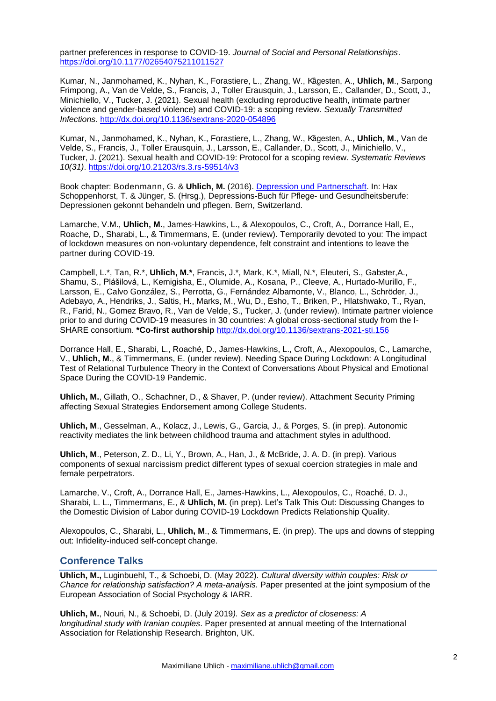partner preferences in response to COVID-19. *Journal of Social and Personal Relationships*. [https://doi.org/10.1177/02654075211011527](https://doi.org/10.1177%2F02654075211011527)

Kumar, N., Janmohamed, K., Nyhan, K., Forastiere, L., Zhang, W., Kågesten, A., Uhlich, M., Sarpong Frimpong, A., Van de Velde, S., Francis, J., Toller Erausquin, J., Larsson, E., Callander, D., Scott, J., Minichiello, V., Tucker, J. (2021). Sexual health (excluding reproductive health, intimate partner violence and gender-based violence) and COVID-19: a scoping review. *Sexually Transmitted Infections.* <http://dx.doi.org/10.1136/sextrans-2020-054896>

Kumar, N., Janmohamed, K., Nyhan, K., Forastiere, L., Zhang, W., K˚agesten, A., **Uhlich, M**., Van de Velde, S., Francis, J., Toller Erausquin, J., Larsson, E., Callander, D., Scott, J., Minichiello, V., Tucker, J. (2021). Sexual health and COVID-19: Protocol for a scoping review. *Systematic Reviews 10(31)*.<https://doi.org/10.21203/rs.3.rs-59514/v3>

Book chapter: Bodenmann, G. & **Uhlich, M.** (2016). [Depression und Partnerschaft.](https://www.hogrefe.de/shop/das-depressions-buch-fuer-pflege-und-gesundheitsberufe-75167.html) In: Hax Schoppenhorst, T. & Jünger, S. (Hrsg.), Depressions-Buch für Pflege- und Gesundheitsberufe: Depressionen gekonnt behandeln und pflegen. Bern, Switzerland.

Lamarche, V.M., **Uhlich, M.**, James-Hawkins, L., & Alexopoulos, C., Croft, A., Dorrance Hall, E., Roache, D., Sharabi, L., & Timmermans, E. (under review). Temporarily devoted to you: The impact of lockdown measures on non-voluntary dependence, felt constraint and intentions to leave the partner during COVID-19.

Campbell, L.\*, Tan, R.\*, **Uhlich, M.\***, Francis, J.\*, Mark, K.\*, Miall, N.\*, Eleuteri, S., Gabster,A., Shamu, S., Plášilová, L., Kemigisha, E., Olumide, A., Kosana, P., Cleeve, A., Hurtado-Murillo, F., Larsson, E., Calvo González, S., Perrotta, G., Fernández Albamonte, V., Blanco, L., Schröder, J., Adebayo, A., Hendriks, J., Saltis, H., Marks, M., Wu, D., Esho, T., Briken, P., Hlatshwako, T., Ryan, R., Farid, N., Gomez Bravo, R., Van de Velde, S., Tucker, J. (under review). Intimate partner violence prior to and during COVID-19 measures in 30 countries: A global cross-sectional study from the I-SHARE consortium. **\*Co-first authorship** <http://dx.doi.org/10.1136/sextrans-2021-sti.156>

Dorrance Hall, E., Sharabi, L., Roaché, D., James-Hawkins, L., Croft, A., Alexopoulos, C., Lamarche, V., **Uhlich, M**., & Timmermans, E. (under review). Needing Space During Lockdown: A Longitudinal Test of Relational Turbulence Theory in the Context of Conversations About Physical and Emotional Space During the COVID-19 Pandemic.

**Uhlich, M.**, Gillath, O., Schachner, D., & Shaver, P. (under review). Attachment Security Priming affecting Sexual Strategies Endorsement among College Students.

**Uhlich, M**., Gesselman, A., Kolacz, J., Lewis, G., Garcia, J., & Porges, S. (in prep). Autonomic reactivity mediates the link between childhood trauma and attachment styles in adulthood.

**Uhlich, M**., Peterson, Z. D., Li, Y., Brown, A., Han, J., & McBride, J. A. D. (in prep). Various components of sexual narcissism predict different types of sexual coercion strategies in male and female perpetrators.

Lamarche, V., Croft, A., Dorrance Hall, E., James-Hawkins, L., Alexopoulos, C., Roaché, D. J., Sharabi, L. L., Timmermans, E., & **Uhlich, M.** (in prep). Let's Talk This Out: Discussing Changes to the Domestic Division of Labor during COVID-19 Lockdown Predicts Relationship Quality.

Alexopoulos, C., Sharabi, L., **Uhlich, M**., & Timmermans, E. (in prep). The ups and downs of stepping out: Infidelity-induced self-concept change.

## **Conference Talks**

**Uhlich, M.,** Luginbuehl, T., & Schoebi, D. (May 2022). *Cultural diversity within couples: Risk or Chance for relationship satisfaction? A meta-analysis.* Paper presented at the joint symposium of the European Association of Social Psychology & IARR.

**Uhlich, M.**, Nouri, N., & Schoebi, D. (July 2019*). Sex as a predictor of closeness: A longitudinal study with Iranian couples*. Paper presented at annual meeting of the International Association for Relationship Research. Brighton, UK.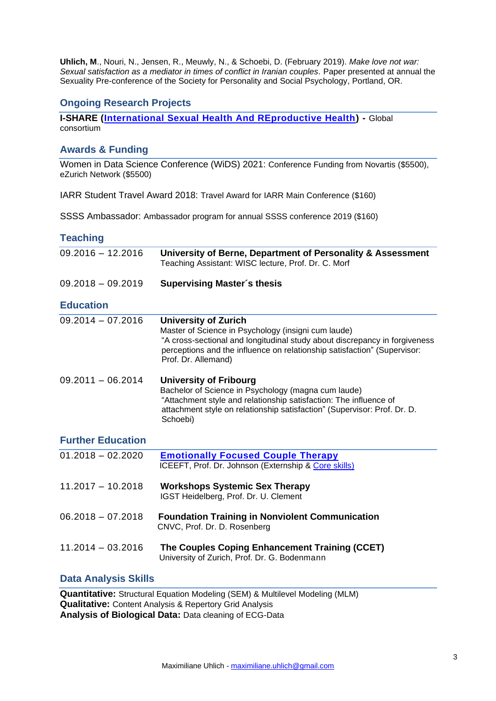**Uhlich, M**., Nouri, N., Jensen, R., Meuwly, N., & Schoebi, D. (February 2019). *Make love not war: Sexual satisfaction as a mediator in times of conflict in Iranian couples*. Paper presented at annual the Sexuality Pre-conference of the Society for Personality and Social Psychology, Portland, OR.

# **Ongoing Research Projects**

**I-SHARE [\(International Sexual Health And REproductive Health\)](https://ishare.web.unc.edu/team-members/) -** Global consortium

# **Awards & Funding**

Women in Data Science Conference (WiDS) 2021: Conference Funding from Novartis (\$5500), eZurich Network (\$5500)

IARR Student Travel Award 2018: Travel Award for IARR Main Conference (\$160)

SSSS Ambassador: Ambassador program for annual SSSS conference 2019 (\$160)

### **Teaching**

| $09.2016 - 12.2016$      | University of Berne, Department of Personality & Assessment<br>Teaching Assistant: WISC lecture, Prof. Dr. C. Morf                                                                                                                                                  |
|--------------------------|---------------------------------------------------------------------------------------------------------------------------------------------------------------------------------------------------------------------------------------------------------------------|
| $09.2018 - 09.2019$      | <b>Supervising Master's thesis</b>                                                                                                                                                                                                                                  |
| <b>Education</b>         |                                                                                                                                                                                                                                                                     |
| $09.2014 - 07.2016$      | <b>University of Zurich</b><br>Master of Science in Psychology (insigni cum laude)<br>"A cross-sectional and longitudinal study about discrepancy in forgiveness<br>perceptions and the influence on relationship satisfaction" (Supervisor:<br>Prof. Dr. Allemand) |
| $09.2011 - 06.2014$      | <b>University of Fribourg</b><br>Bachelor of Science in Psychology (magna cum laude)<br>"Attachment style and relationship satisfaction: The influence of<br>attachment style on relationship satisfaction" (Supervisor: Prof. Dr. D.<br>Schoebi)                   |
| <b>Further Education</b> |                                                                                                                                                                                                                                                                     |
| $01.2018 - 02.2020$      | <b>Emotionally Focused Couple Therapy</b><br>ICEEFT, Prof. Dr. Johnson (Externship & Core skills)                                                                                                                                                                   |
| $11.2017 - 10.2018$      | <b>Workshops Systemic Sex Therapy</b><br>IGST Heidelberg, Prof. Dr. U. Clement                                                                                                                                                                                      |
| $06.2018 - 07.2018$      | <b>Foundation Training in Nonviolent Communication</b><br>CNVC, Prof. Dr. D. Rosenberg                                                                                                                                                                              |
| $11.2014 - 03.2016$      | The Couples Coping Enhancement Training (CCET)<br>University of Zurich, Prof. Dr. G. Bodenmann                                                                                                                                                                      |

## **Data Analysis Skills**

**Quantitative:** Structural Equation Modeling (SEM) & Multilevel Modeling (MLM) **Qualitative:** Content Analysis & Repertory Grid Analysis **Analysis of Biological Data:** Data cleaning of ECG-Data